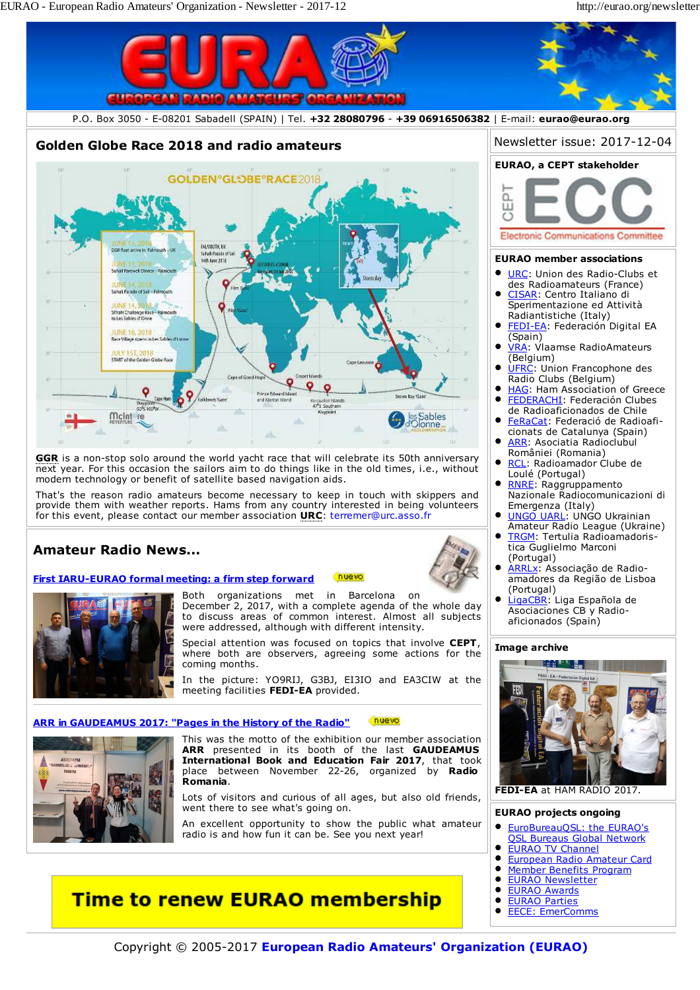